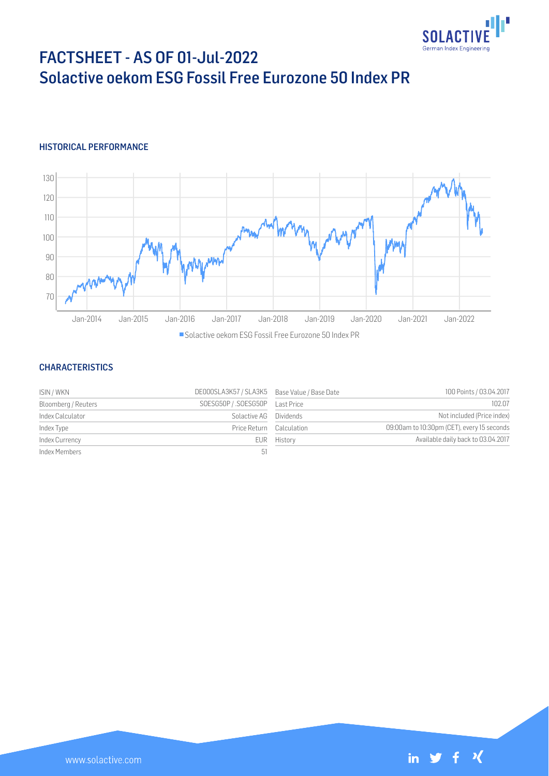

# FACTSHEET - AS OF 01-Jul-2022 Solactive oekom ESG Fossil Free Eurozone 50 Index PR

## HISTORICAL PERFORMANCE



### **CHARACTERISTICS**

| ISIN / WKN          | DE000SLA3K57 / SLA3K5 Base Value / Base Date |             | 100 Points / 03.04.2017                    |
|---------------------|----------------------------------------------|-------------|--------------------------------------------|
| Bloomberg / Reuters | SOESG50P / .SOESG50P    Last Price           |             | 102.07                                     |
| Index Calculator    | Solactive AG Dividends                       |             | Not included (Price index)                 |
| Index Type          | Price Return Calculation                     |             | 09:00am to 10:30pm (CET), every 15 seconds |
| Index Currency      |                                              | EUR History | Available daily back to 03.04.2017         |
| Index Members       | -51                                          |             |                                            |

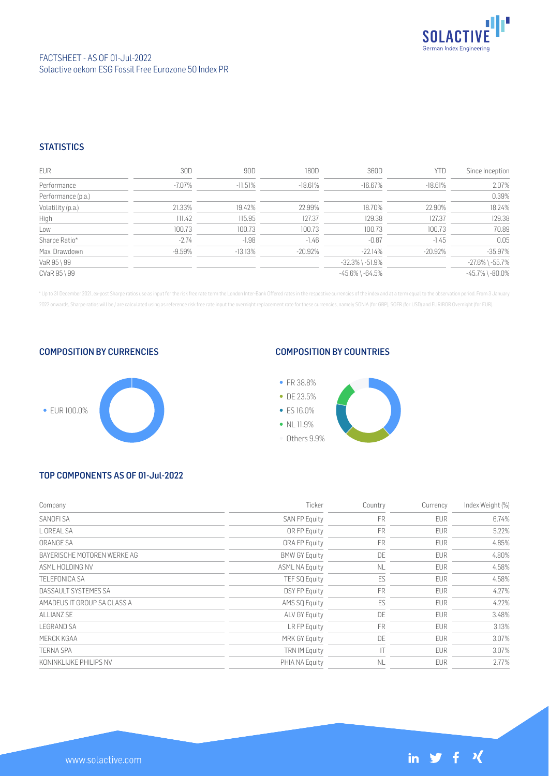

## **STATISTICS**

| <b>EUR</b>         | 30D       | 90D       | 180D       | 360D                  | <b>YTD</b> | Since Inception       |
|--------------------|-----------|-----------|------------|-----------------------|------------|-----------------------|
| Performance        | $-7.07\%$ | $-11.51%$ | $-18.61%$  | -16.67%               | $-18.61%$  | 2.07%                 |
| Performance (p.a.) |           |           |            |                       |            | 0.39%                 |
| Volatility (p.a.)  | 21.33%    | 19.42%    | 22.99%     | 18.70%                | 22.90%     | 18.24%                |
| High               | 111.42    | 115.95    | 127.37     | 129.38                | 127.37     | 129.38                |
| Low                | 100.73    | 100.73    | 100.73     | 100.73                | 100.73     | 70.89                 |
| Sharpe Ratio*      | $-2.74$   | $-1.98$   | $-1.46$    | $-0.87$               | $-1.45$    | 0.05                  |
| Max. Drawdown      | $-9.59%$  | $-13.13%$ | $-20.92\%$ | $-22.14%$             | $-20.92\%$ | $-35.97%$             |
| VaR 95 \ 99        |           |           |            | $-32.3\%$ \ $-51.9\%$ |            | $-27.6\%$ \ $-55.7\%$ |
| CVaR 95 \ 99       |           |           |            | $-45.6\%$ \ $-64.5\%$ |            | $-45.7\%$ \ $-80.0\%$ |

\* Up to 31 December 2021, ex-post Sharpe ratios use as input for the risk free rate term the London Inter-Bank Offered rates in the respective currencies of the index and at a term equal to the observation period. From 3 J 2022 onwards, Sharpe ratios will be / are calculated using as reference risk free rate input the overnight replacement rate for these currencies, namely SONIA (for GBP), SOFR (for USD) and EURIBOR Overnight (for EUR).

#### COMPOSITION BY CURRENCIES



## COMPOSITION BY COUNTRIES



# TOP COMPONENTS AS OF 01-Jul-2022

| Company                     | Ticker                | Country   | Currency   | Index Weight (%) |
|-----------------------------|-----------------------|-----------|------------|------------------|
| SANOFI SA                   | SAN FP Equity         | FR        | <b>EUR</b> | 6.74%            |
| L OREAL SA                  | OR FP Equity          | <b>FR</b> | <b>EUR</b> | 5.22%            |
| ORANGE SA                   | ORA FP Equity         | <b>FR</b> | <b>EUR</b> | 4.85%            |
| BAYERISCHE MOTOREN WERKE AG | <b>BMW GY Equity</b>  | DE        | <b>EUR</b> | 4.80%            |
| ASMI HOI DING NV            | <b>ASML NA Equity</b> | <b>NL</b> | <b>EUR</b> | 4.58%            |
| <b>TELEFONICA SA</b>        | TEF SQ Equity         | ES        | <b>EUR</b> | 4.58%            |
| DASSAULT SYSTEMES SA        | <b>DSY FP Equity</b>  | FR        | <b>EUR</b> | 4.27%            |
| AMADEUS IT GROUP SA CLASS A | AMS SQ Equity         | ES        | <b>EUR</b> | 4.22%            |
| ALLIANZ SE                  | ALV GY Equity         | DE        | <b>EUR</b> | 3.48%            |
| <b>LEGRAND SA</b>           | LR FP Equity          | <b>FR</b> | <b>EUR</b> | 3.13%            |
| MERCK KGAA                  | <b>MRK GY Equity</b>  | DE        | <b>EUR</b> | 3.07%            |
| <b>TERNA SPA</b>            | <b>TRN IM Equity</b>  | ТT        | <b>EUR</b> | 3.07%            |
| KONINKLIJKE PHILIPS NV      | PHIA NA Equity        | <b>NL</b> | <b>EUR</b> | 2.77%            |

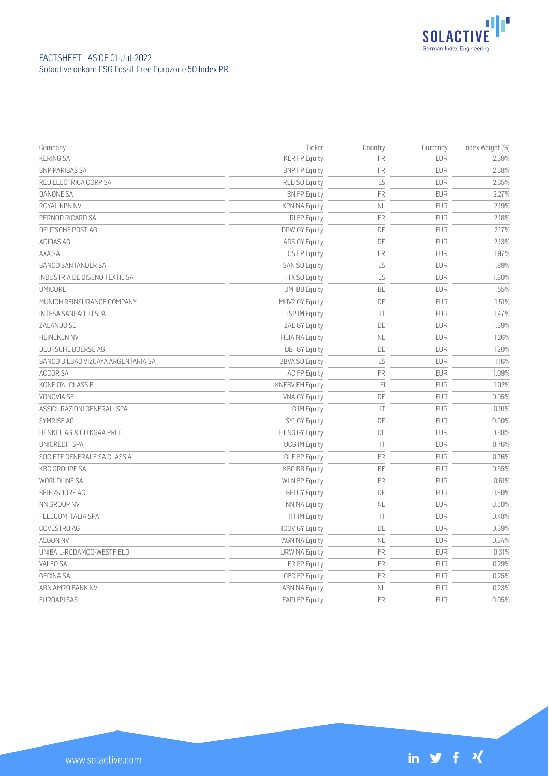

| Company                            | Ticker                 | Country                | Currency   | Index Weight (%) |
|------------------------------------|------------------------|------------------------|------------|------------------|
| <b>KERING SA</b>                   | <b>KER FP Equity</b>   | <b>FR</b>              | <b>EUR</b> | 2.39%            |
| <b>BNP PARIBAS SA</b>              | <b>BNP FP Equity</b>   | FR                     | <b>EUR</b> | 2.38%            |
| RED ELECTRICA CORP SA              | <b>RED SQ Equity</b>   | ES                     | <b>EUR</b> | 2.35%            |
| DANONE SA                          | <b>BN FP Equity</b>    | FR                     | <b>EUR</b> | 2.27%            |
| ROYAL KPN NV                       | <b>KPN NA Equity</b>   | <b>NL</b>              | <b>EUR</b> | 2.19%            |
| PERNOD RICARD SA                   | RI FP Equity           | <b>FR</b>              | <b>EUR</b> | 2.18%            |
| DEUTSCHE POST AG                   | DPW GY Equity          | DE                     | <b>EUR</b> | 2.17%            |
| ADIDAS AG                          | ADS GY Equity          | DE                     | <b>EUR</b> | 2.13%            |
| AXA SA                             | CS FP Equity           | FR                     | <b>EUR</b> | 1.97%            |
| <b>BANCO SANTANDER SA</b>          | SAN SQ Equity          | ES                     | <b>EUR</b> | 1.89%            |
| INDUSTRIA DE DISENO TEXTIL SA      | <b>ITX SQ Equity</b>   | ES                     | <b>EUR</b> | 1.80%            |
| <b>UMICORE</b>                     | <b>UMI BB Equity</b>   | BE                     | <b>EUR</b> | 1.55%            |
| MUNICH REINSURANCE COMPANY         | MUV2 GY Equity         | DE                     | <b>EUR</b> | 1.51%            |
| <b>INTESA SANPAOLO SPA</b>         | ISP IM Equity          | $\mathsf{I}\mathsf{T}$ | <b>EUR</b> | 1.47%            |
| ZALANDO SE                         | <b>ZAL GY Equity</b>   | DE                     | <b>EUR</b> | 1.39%            |
| <b>HEINEKEN NV</b>                 | <b>HEIA NA Equity</b>  | <b>NL</b>              | <b>EUR</b> | 1.26%            |
| DEUTSCHE BOERSE AG                 | <b>DB1 GY Equity</b>   | DE                     | <b>EUR</b> | 1.20%            |
| BANCO BILBAO VIZCAYA ARGENTARIA SA | <b>BBVA SQ Equity</b>  | ES                     | <b>EUR</b> | 1.16%            |
| <b>ACCOR SA</b>                    | <b>AC FP Equity</b>    | FR                     | <b>EUR</b> | 1.09%            |
| KONE OYJ CLASS B                   | <b>KNEBV FH Equity</b> | FI                     | <b>EUR</b> | 1.02%            |
| VONOVIA SE                         | <b>VNA GY Equity</b>   | DE                     | <b>EUR</b> | 0.95%            |
| ASSICURAZIONI GENERALI SPA         | G IM Equity            | $\mathsf{I}\mathsf{T}$ | <b>EUR</b> | 0.91%            |
| SYMRISE AG                         | SY1 GY Equity          | DE                     | <b>EUR</b> | 0.90%            |
| HENKEL AG & CO KGAA PREF           | <b>HEN3 GY Equity</b>  | DE                     | <b>EUR</b> | 0.88%            |
| UNICREDIT SPA                      | <b>UCG IM Equity</b>   | $\mathsf{I}$           | <b>EUR</b> | 0.76%            |
| SOCIETE GENERALE SA CLASS A        | <b>GLE FP Equity</b>   | FR                     | <b>EUR</b> | 0.76%            |
| <b>KBC GROUPE SA</b>               | <b>KBC BB Equity</b>   | BE                     | <b>EUR</b> | 0.65%            |
| <b>WORLDLINE SA</b>                | <b>WLN FP Equity</b>   | <b>FR</b>              | <b>EUR</b> | 0.61%            |
| <b>BEIERSDORF AG</b>               | <b>BEI GY Equity</b>   | DE                     | <b>EUR</b> | 0.60%            |
| NN GROUP NV                        | NN NA Equity           | <b>NL</b>              | <b>EUR</b> | 0.50%            |
| TELECOM ITALIA SPA                 | TIT IM Equity          | ΙT                     | <b>EUR</b> | 0.48%            |
| COVESTRO AG                        | <b>1COV GY Equity</b>  | DE                     | <b>EUR</b> | 0.39%            |
| <b>AEGON NV</b>                    | <b>AGN NA Equity</b>   | <b>NL</b>              | <b>EUR</b> | 0.34%            |
| UNIBAIL-RODAMCO-WESTFIELD          | <b>URW NA Equity</b>   | FR                     | <b>EUR</b> | 0.31%            |
| <b>VALEO SA</b>                    | FR FP Equity           | <b>FR</b>              | <b>EUR</b> | 0.29%            |
| <b>GECINA SA</b>                   | <b>GFC FP Equity</b>   | <b>FR</b>              | <b>EUR</b> | 0.25%            |
| ABN AMRO BANK NV                   | <b>ABN NA Equity</b>   | <b>NL</b>              | <b>EUR</b> | 0.23%            |
| <b>EUROAPI SAS</b>                 | <b>EAPI FP Equity</b>  | <b>FR</b>              | <b>EUR</b> | 0.05%            |